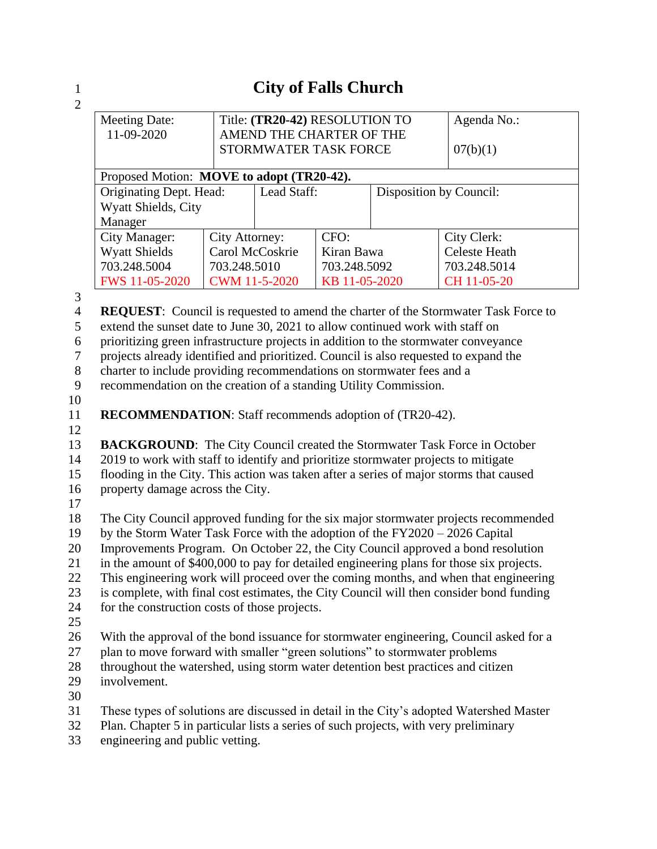## 1 **City of Falls Church**

I

 $\frac{1}{2}$ 

| 2                   |                                                                                                                                                                            |                                |                               |                            |             |                      |  |  |
|---------------------|----------------------------------------------------------------------------------------------------------------------------------------------------------------------------|--------------------------------|-------------------------------|----------------------------|-------------|----------------------|--|--|
|                     | <b>Meeting Date:</b>                                                                                                                                                       | Title: (TR20-42) RESOLUTION TO |                               |                            | Agenda No.: |                      |  |  |
|                     | 11-09-2020                                                                                                                                                                 |                                | AMEND THE CHARTER OF THE      |                            |             |                      |  |  |
|                     |                                                                                                                                                                            |                                | STORMWATER TASK FORCE         | 07(b)(1)                   |             |                      |  |  |
|                     | Proposed Motion: MOVE to adopt (TR20-42).                                                                                                                                  |                                |                               |                            |             |                      |  |  |
|                     | Originating Dept. Head:                                                                                                                                                    | Lead Staff:                    |                               | Disposition by Council:    |             |                      |  |  |
|                     | Wyatt Shields, City                                                                                                                                                        |                                |                               |                            |             |                      |  |  |
|                     | Manager                                                                                                                                                                    |                                |                               |                            |             |                      |  |  |
|                     | <b>City Manager:</b>                                                                                                                                                       | City Attorney:                 |                               | CFO:                       |             | City Clerk:          |  |  |
|                     | <b>Wyatt Shields</b>                                                                                                                                                       | Carol McCoskrie                |                               | Kiran Bawa<br>703.248.5092 |             | <b>Celeste Heath</b> |  |  |
|                     | 703.248.5004                                                                                                                                                               |                                | 703.248.5010<br>CWM 11-5-2020 |                            |             | 703.248.5014         |  |  |
|                     | FWS 11-05-2020                                                                                                                                                             |                                |                               | KB 11-05-2020              |             | CH 11-05-20          |  |  |
| 3<br>$\overline{4}$ |                                                                                                                                                                            |                                |                               |                            |             |                      |  |  |
| 5                   | <b>REQUEST:</b> Council is requested to amend the charter of the Stormwater Task Force to<br>extend the sunset date to June 30, 2021 to allow continued work with staff on |                                |                               |                            |             |                      |  |  |
| 6                   | prioritizing green infrastructure projects in addition to the stormwater conveyance                                                                                        |                                |                               |                            |             |                      |  |  |
| $\boldsymbol{7}$    | projects already identified and prioritized. Council is also requested to expand the                                                                                       |                                |                               |                            |             |                      |  |  |
| $\, 8$              | charter to include providing recommendations on stormwater fees and a                                                                                                      |                                |                               |                            |             |                      |  |  |
| 9                   | recommendation on the creation of a standing Utility Commission.                                                                                                           |                                |                               |                            |             |                      |  |  |
| 10                  |                                                                                                                                                                            |                                |                               |                            |             |                      |  |  |
| 11                  | <b>RECOMMENDATION:</b> Staff recommends adoption of (TR20-42).                                                                                                             |                                |                               |                            |             |                      |  |  |
| 12                  |                                                                                                                                                                            |                                |                               |                            |             |                      |  |  |
| 13                  | <b>BACKGROUND:</b> The City Council created the Stormwater Task Force in October                                                                                           |                                |                               |                            |             |                      |  |  |
| 14                  | 2019 to work with staff to identify and prioritize stormwater projects to mitigate                                                                                         |                                |                               |                            |             |                      |  |  |
| 15                  | flooding in the City. This action was taken after a series of major storms that caused                                                                                     |                                |                               |                            |             |                      |  |  |
| 16                  | property damage across the City.                                                                                                                                           |                                |                               |                            |             |                      |  |  |
| 17                  |                                                                                                                                                                            |                                |                               |                            |             |                      |  |  |
| 18                  | The City Council approved funding for the six major stormwater projects recommended                                                                                        |                                |                               |                            |             |                      |  |  |
| 19                  | by the Storm Water Task Force with the adoption of the FY2020 - 2026 Capital                                                                                               |                                |                               |                            |             |                      |  |  |
| 20                  | Improvements Program. On October 22, the City Council approved a bond resolution                                                                                           |                                |                               |                            |             |                      |  |  |
| 21                  | in the amount of \$400,000 to pay for detailed engineering plans for those six projects.                                                                                   |                                |                               |                            |             |                      |  |  |
| 22<br>23            | This engineering work will proceed over the coming months, and when that engineering                                                                                       |                                |                               |                            |             |                      |  |  |
| 24                  | is complete, with final cost estimates, the City Council will then consider bond funding<br>for the construction costs of those projects.                                  |                                |                               |                            |             |                      |  |  |
| 25                  |                                                                                                                                                                            |                                |                               |                            |             |                      |  |  |
| 26                  |                                                                                                                                                                            |                                |                               |                            |             |                      |  |  |
| 27                  | With the approval of the bond issuance for stormwater engineering, Council asked for a<br>plan to move forward with smaller "green solutions" to stormwater problems       |                                |                               |                            |             |                      |  |  |
| 28                  | throughout the watershed, using storm water detention best practices and citizen                                                                                           |                                |                               |                            |             |                      |  |  |
| 29                  | involvement.                                                                                                                                                               |                                |                               |                            |             |                      |  |  |
| 30                  |                                                                                                                                                                            |                                |                               |                            |             |                      |  |  |
| 31                  | These types of solutions are discussed in detail in the City's adopted Watershed Master                                                                                    |                                |                               |                            |             |                      |  |  |

- 32 Plan. Chapter 5 in particular lists a series of such projects, with very preliminary
- 33 engineering and public vetting.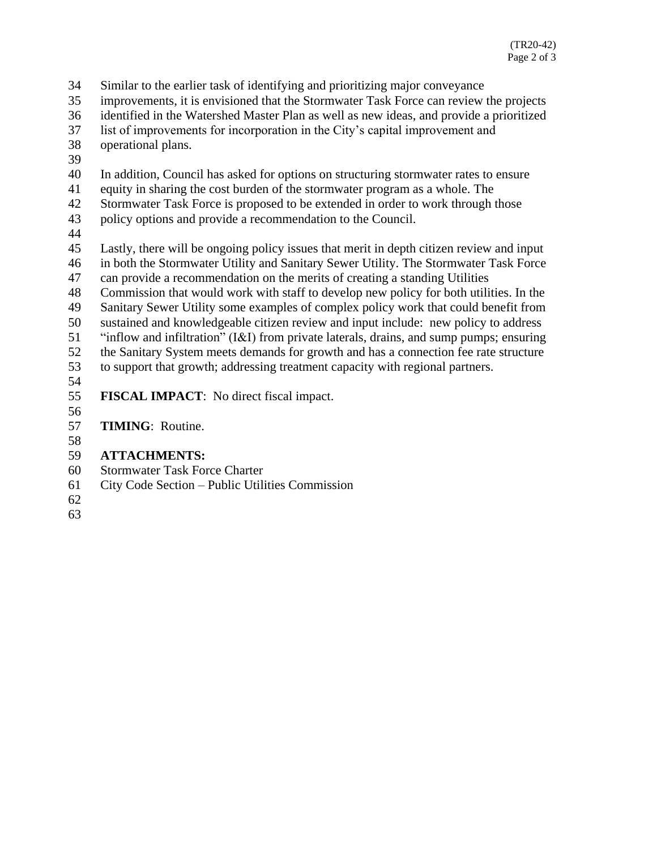- Similar to the earlier task of identifying and prioritizing major conveyance
- improvements, it is envisioned that the Stormwater Task Force can review the projects
- identified in the Watershed Master Plan as well as new ideas, and provide a prioritized
- list of improvements for incorporation in the City's capital improvement and
- operational plans.
- 
- In addition, Council has asked for options on structuring stormwater rates to ensure
- equity in sharing the cost burden of the stormwater program as a whole. The
- Stormwater Task Force is proposed to be extended in order to work through those
- policy options and provide a recommendation to the Council.
- 
- Lastly, there will be ongoing policy issues that merit in depth citizen review and input in both the Stormwater Utility and Sanitary Sewer Utility. The Stormwater Task Force can provide a recommendation on the merits of creating a standing Utilities
- 
- Commission that would work with staff to develop new policy for both utilities. In the
- Sanitary Sewer Utility some examples of complex policy work that could benefit from sustained and knowledgeable citizen review and input include: new policy to address
- "inflow and infiltration" (I&I) from private laterals, drains, and sump pumps; ensuring
- the Sanitary System meets demands for growth and has a connection fee rate structure
- to support that growth; addressing treatment capacity with regional partners.
- 
- **FISCAL IMPACT**: No direct fiscal impact.
- 

**TIMING**: Routine.

- 
- **ATTACHMENTS:**
- Stormwater Task Force Charter
- City Code Section Public Utilities Commission
-